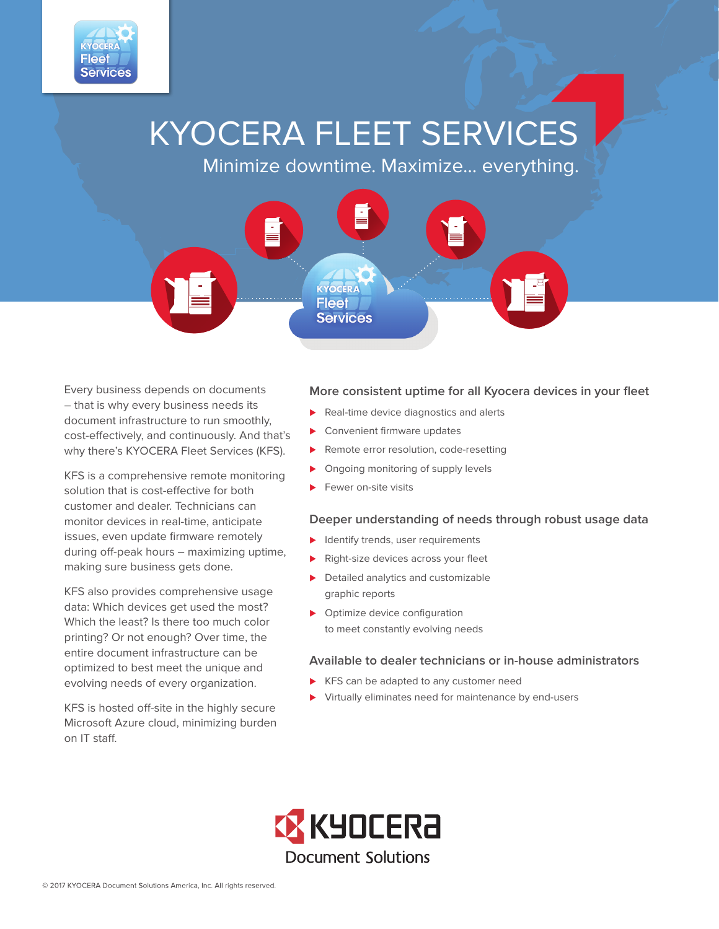

# KYOCERA FLEET SERVICES

Minimize downtime. Maximize… everything.



Every business depends on documents – that is why every business needs its document infrastructure to run smoothly, cost-effectively, and continuously. And that's why there's KYOCERA Fleet Services (KFS).

KFS is a comprehensive remote monitoring solution that is cost-effective for both customer and dealer. Technicians can monitor devices in real-time, anticipate issues, even update firmware remotely during off-peak hours – maximizing uptime, making sure business gets done.

KFS also provides comprehensive usage data: Which devices get used the most? Which the least? Is there too much color printing? Or not enough? Over time, the entire document infrastructure can be optimized to best meet the unique and evolving needs of every organization.

KFS is hosted off-site in the highly secure Microsoft Azure cloud, minimizing burden on IT staff.

#### **More consistent uptime for all Kyocera devices in your fleet**

- Real-time device diagnostics and alerts
- Convenient firmware updates
- Remote error resolution, code-resetting
- **Diagoing monitoring of supply levels**
- Fewer on-site visits

#### **Deeper understanding of needs through robust usage data**

- $\blacktriangleright$  Identify trends, user requirements
- Right-size devices across your fleet
- Detailed analytics and customizable graphic reports
- **Department Optimize device configuration** to meet constantly evolving needs

#### **Available to dealer technicians or in-house administrators**

- KFS can be adapted to any customer need
- Virtually eliminates need for maintenance by end-users